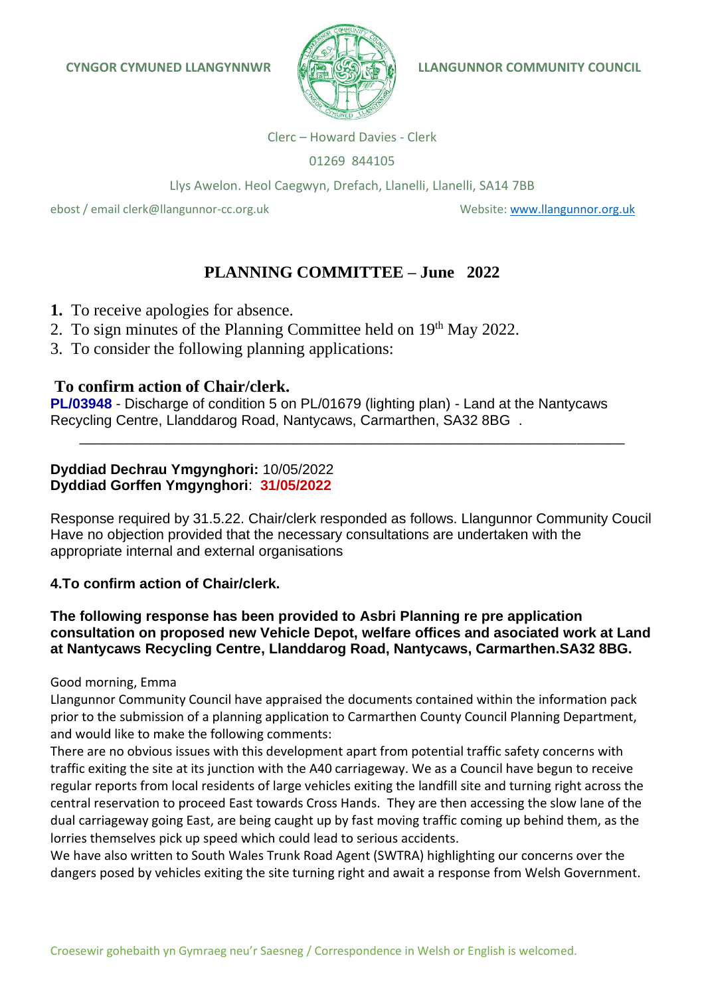

Clerc – Howard Davies - Clerk

01269 844105

Llys Awelon. Heol Caegwyn, Drefach, Llanelli, Llanelli, SA14 7BB

ebost / email clerk@llangunnor-cc.org.uk Website: [www.llangunnor.org.uk](http://www.llangunnor.org.uk/)

# **PLANNING COMMITTEE – June 2022**

- **1.** To receive apologies for absence.
- 2. To sign minutes of the Planning Committee held on 19<sup>th</sup> May 2022.
- 3. To consider the following planning applications:

## **To confirm action of Chair/clerk.**

**PL/03948** - Discharge of condition 5 on PL/01679 (lighting plan) - Land at the Nantycaws Recycling Centre, Llanddarog Road, Nantycaws, Carmarthen, SA32 8BG .

**Dyddiad Dechrau Ymgynghori:** 10/05/2022 **Dyddiad Gorffen Ymgynghori**: **31/05/2022**

Response required by 31.5.22. Chair/clerk responded as follows. Llangunnor Community Coucil Have no objection provided that the necessary consultations are undertaken with the appropriate internal and external organisations

\_\_\_\_\_\_\_\_\_\_\_\_\_\_\_\_\_\_\_\_\_\_\_\_\_\_\_\_\_\_\_\_\_\_\_\_\_\_\_\_\_\_\_\_\_\_\_\_\_\_\_\_\_\_\_\_\_\_\_\_\_\_\_\_\_\_\_\_\_

## **4.To confirm action of Chair/clerk.**

## **The following response has been provided to Asbri Planning re pre application consultation on proposed new Vehicle Depot, welfare offices and asociated work at Land at Nantycaws Recycling Centre, Llanddarog Road, Nantycaws, Carmarthen.SA32 8BG.**

### Good morning, Emma

Llangunnor Community Council have appraised the documents contained within the information pack prior to the submission of a planning application to Carmarthen County Council Planning Department, and would like to make the following comments:

There are no obvious issues with this development apart from potential traffic safety concerns with traffic exiting the site at its junction with the A40 carriageway. We as a Council have begun to receive regular reports from local residents of large vehicles exiting the landfill site and turning right across the central reservation to proceed East towards Cross Hands. They are then accessing the slow lane of the dual carriageway going East, are being caught up by fast moving traffic coming up behind them, as the lorries themselves pick up speed which could lead to serious accidents.

We have also written to South Wales Trunk Road Agent (SWTRA) highlighting our concerns over the dangers posed by vehicles exiting the site turning right and await a response from Welsh Government.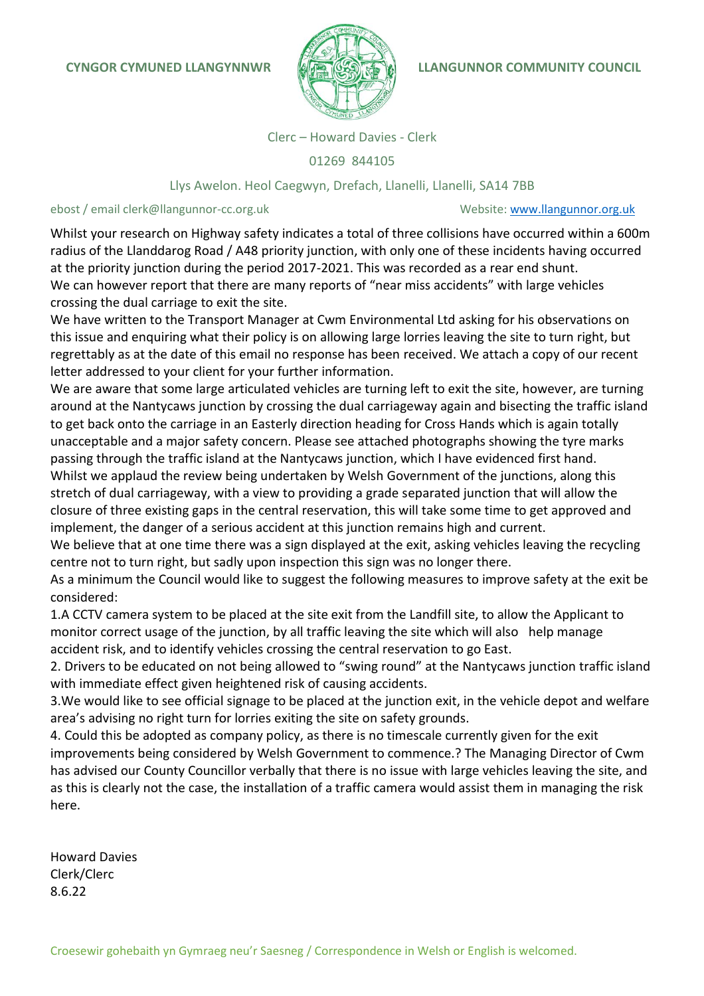

Clerc – Howard Davies - Clerk

01269 844105

#### Llys Awelon. Heol Caegwyn, Drefach, Llanelli, Llanelli, SA14 7BB

#### ebost / email clerk@llangunnor-cc.org.uk Website: [www.llangunnor.org.uk](http://www.llangunnor.org.uk/)

Whilst your research on Highway safety indicates a total of three collisions have occurred within a 600m radius of the Llanddarog Road / A48 priority junction, with only one of these incidents having occurred at the priority junction during the period 2017-2021. This was recorded as a rear end shunt. We can however report that there are many reports of "near miss accidents" with large vehicles crossing the dual carriage to exit the site.

We have written to the Transport Manager at Cwm Environmental Ltd asking for his observations on this issue and enquiring what their policy is on allowing large lorries leaving the site to turn right, but regrettably as at the date of this email no response has been received. We attach a copy of our recent letter addressed to your client for your further information.

We are aware that some large articulated vehicles are turning left to exit the site, however, are turning around at the Nantycaws junction by crossing the dual carriageway again and bisecting the traffic island to get back onto the carriage in an Easterly direction heading for Cross Hands which is again totally unacceptable and a major safety concern. Please see attached photographs showing the tyre marks passing through the traffic island at the Nantycaws junction, which I have evidenced first hand.

Whilst we applaud the review being undertaken by Welsh Government of the junctions, along this stretch of dual carriageway, with a view to providing a grade separated junction that will allow the closure of three existing gaps in the central reservation, this will take some time to get approved and implement, the danger of a serious accident at this junction remains high and current.

We believe that at one time there was a sign displayed at the exit, asking vehicles leaving the recycling centre not to turn right, but sadly upon inspection this sign was no longer there.

As a minimum the Council would like to suggest the following measures to improve safety at the exit be considered:

1.A CCTV camera system to be placed at the site exit from the Landfill site, to allow the Applicant to monitor correct usage of the junction, by all traffic leaving the site which will also help manage accident risk, and to identify vehicles crossing the central reservation to go East.

2. Drivers to be educated on not being allowed to "swing round" at the Nantycaws junction traffic island with immediate effect given heightened risk of causing accidents.

3.We would like to see official signage to be placed at the junction exit, in the vehicle depot and welfare area's advising no right turn for lorries exiting the site on safety grounds.

4. Could this be adopted as company policy, as there is no timescale currently given for the exit improvements being considered by Welsh Government to commence.? The Managing Director of Cwm has advised our County Councillor verbally that there is no issue with large vehicles leaving the site, and as this is clearly not the case, the installation of a traffic camera would assist them in managing the risk here.

Howard Davies Clerk/Clerc 8.6.22